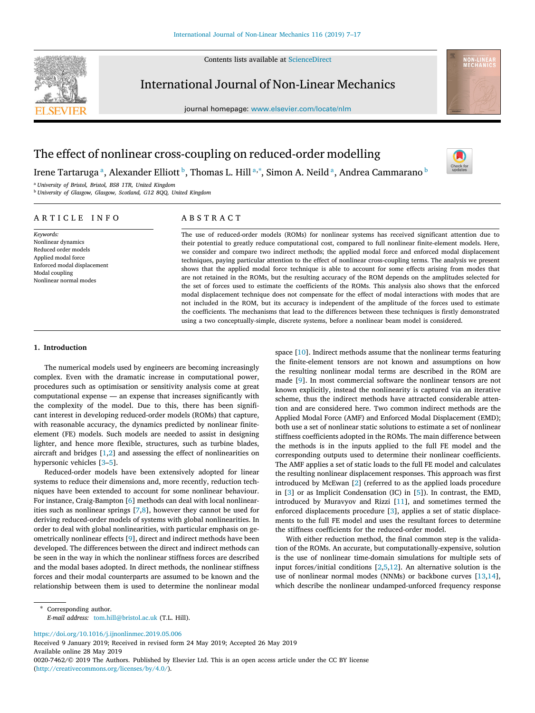Contents lists available at [ScienceDirect](http://www.elsevier.com/locate/nlm)



International Journal of Non-Linear Mechanics

journal homepage: [www.elsevier.com/locate/nlm](http://www.elsevier.com/locate/nlm)



Check fo

# The effect of nonlinear cross-coupling on reduced-order modelling

Irene T[a](#page-0-0)rtaruga ª, Alexander Elliott <sup>[b](#page-0-1)</sup>, Thomas L. Hill ª<sup>,</sup>\*, Simon A. Neild ª, Andrea Cammarano <sup>b</sup>

<span id="page-0-1"></span><span id="page-0-0"></span><sup>a</sup> *University of Bristol, Bristol, BS8 1TR, United Kingdom* <sup>b</sup> *University of Glasgow, Glasgow, Scotland, G12 8QQ, United Kingdom*

## A R T I C L E I N F O

*Keywords:* Nonlinear dynamics Reduced order models Applied modal force Enforced modal displacement Modal coupling Nonlinear normal modes

# A B S T R A C T

The use of reduced-order models (ROMs) for nonlinear systems has received significant attention due to their potential to greatly reduce computational cost, compared to full nonlinear finite-element models. Here, we consider and compare two indirect methods; the applied modal force and enforced modal displacement techniques, paying particular attention to the effect of nonlinear cross-coupling terms. The analysis we present shows that the applied modal force technique is able to account for some effects arising from modes that are not retained in the ROMs, but the resulting accuracy of the ROM depends on the amplitudes selected for the set of forces used to estimate the coefficients of the ROMs. This analysis also shows that the enforced modal displacement technique does not compensate for the effect of modal interactions with modes that are not included in the ROM, but its accuracy is independent of the amplitude of the forces used to estimate the coefficients. The mechanisms that lead to the differences between these techniques is firstly demonstrated using a two conceptually-simple, discrete systems, before a nonlinear beam model is considered.

## **1. Introduction**

The numerical models used by engineers are becoming increasingly complex. Even with the dramatic increase in computational power, procedures such as optimisation or sensitivity analysis come at great computational expense — an expense that increases significantly with the complexity of the model. Due to this, there has been significant interest in developing reduced-order models (ROMs) that capture, with reasonable accuracy, the dynamics predicted by nonlinear finiteelement (FE) models. Such models are needed to assist in designing lighter, and hence more flexible, structures, such as turbine blades, aircraft and bridges [\[1,](#page-9-0)[2](#page-9-1)] and assessing the effect of nonlinearities on hypersonic vehicles [[3](#page-9-2)[–5\]](#page-9-3).

Reduced-order models have been extensively adopted for linear systems to reduce their dimensions and, more recently, reduction techniques have been extended to account for some nonlinear behaviour. For instance, Craig-Bampton [[6](#page-9-4)] methods can deal with local nonlinearities such as nonlinear springs [\[7,](#page-9-5)[8\]](#page-9-6), however they cannot be used for deriving reduced-order models of systems with global nonlinearities. In order to deal with global nonlinearities, with particular emphasis on geometrically nonlinear effects [[9](#page-9-7)], direct and indirect methods have been developed. The differences between the direct and indirect methods can be seen in the way in which the nonlinear stiffness forces are described and the modal bases adopted. In direct methods, the nonlinear stiffness forces and their modal counterparts are assumed to be known and the relationship between them is used to determine the nonlinear modal

space  $[10]$  $[10]$  $[10]$ . Indirect methods assume that the nonlinear terms featuring the finite-element tensors are not known and assumptions on how the resulting nonlinear modal terms are described in the ROM are made [\[9\]](#page-9-7). In most commercial software the nonlinear tensors are not known explicitly, instead the nonlinearity is captured via an iterative scheme, thus the indirect methods have attracted considerable attention and are considered here. Two common indirect methods are the Applied Modal Force (AMF) and Enforced Modal Displacement (EMD); both use a set of nonlinear static solutions to estimate a set of nonlinear stiffness coefficients adopted in the ROMs. The main difference between the methods is in the inputs applied to the full FE model and the corresponding outputs used to determine their nonlinear coefficients. The AMF applies a set of static loads to the full FE model and calculates the resulting nonlinear displacement responses. This approach was first introduced by McEwan [[2](#page-9-1)] (referred to as the applied loads procedure in [\[3\]](#page-9-2) or as Implicit Condensation (IC) in [[5](#page-9-3)]). In contrast, the EMD, introduced by Muravyov and Rizzi [[11\]](#page-9-9), and sometimes termed the enforced displacements procedure [[3\]](#page-9-2), applies a set of static displacements to the full FE model and uses the resultant forces to determine the stiffness coefficients for the reduced-order model.

With either reduction method, the final common step is the validation of the ROMs. An accurate, but computationally-expensive, solution is the use of nonlinear time-domain simulations for multiple sets of input forces/initial conditions [[2](#page-9-1)[,5,](#page-9-3)[12\]](#page-9-10). An alternative solution is the use of nonlinear normal modes (NNMs) or backbone curves [[13,](#page-9-11)[14\]](#page-9-12), which describe the nonlinear undamped-unforced frequency response

<span id="page-0-2"></span>Corresponding author. *E-mail address:* [tom.hill@bristol.ac.uk](mailto:tom.hill@bristol.ac.uk) (T.L. Hill).

<https://doi.org/10.1016/j.ijnonlinmec.2019.05.006>

Received 9 January 2019; Received in revised form 24 May 2019; Accepted 26 May 2019 Available online 28 May 2019 0020-7462/© 2019 The Authors. Published by Elsevier Ltd. This is an open access article under the CC BY license [\(http://creativecommons.org/licenses/by/4.0/\)](http://creativecommons.org/licenses/by/4.0/).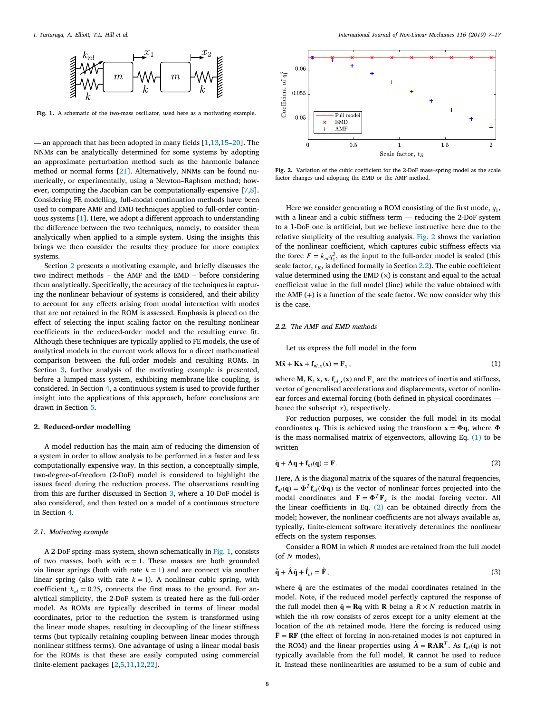

<span id="page-1-1"></span>**Fig. 1.** A schematic of the two-mass oscillator, used here as a motivating example.

— an approach that has been adopted in many fields  $[1,13,15-20]$  $[1,13,15-20]$  $[1,13,15-20]$  $[1,13,15-20]$  $[1,13,15-20]$  $[1,13,15-20]$ . The NNMs can be analytically determined for some systems by adopting an approximate perturbation method such as the harmonic balance method or normal forms [[21\]](#page-10-0). Alternatively, NNMs can be found numerically, or experimentally, using a Newton–Raphson method; however, computing the Jacobian can be computationally-expensive [[7](#page-9-5),[8\]](#page-9-6). Considering FE modelling, full-modal continuation methods have been used to compare AMF and EMD techniques applied to full-order continuous systems [[1](#page-9-0)]. Here, we adopt a different approach to understanding the difference between the two techniques, namely, to consider them analytically when applied to a simple system. Using the insights this brings we then consider the results they produce for more complex systems.

Section [2](#page-1-0) presents a motivating example, and briefly discusses the two indirect methods – the AMF and the EMD – before considering them analytically. Specifically, the accuracy of the techniques in capturing the nonlinear behaviour of systems is considered, and their ability to account for any effects arising from modal interaction with modes that are not retained in the ROM is assessed. Emphasis is placed on the effect of selecting the input scaling factor on the resulting nonlinear coefficients in the reduced-order model and the resulting curve fit. Although these techniques are typically applied to FE models, the use of analytical models in the current work allows for a direct mathematical comparison between the full-order models and resulting ROMs. In Section [3](#page-3-0), further analysis of the motivating example is presented, before a lumped-mass system, exhibiting membrane-like coupling, is considered. In Section [4,](#page-7-0) a continuous system is used to provide further insight into the applications of this approach, before conclusions are drawn in Section [5](#page-8-0).

#### **2. Reduced-order modelling**

<span id="page-1-0"></span>A model reduction has the main aim of reducing the dimension of a system in order to allow analysis to be performed in a faster and less computationally-expensive way. In this section, a conceptually-simple, two-degree-of-freedom (2-DoF) model is considered to highlight the issues faced during the reduction process. The observations resulting from this are further discussed in Section [3](#page-3-0), where a 10-DoF model is also considered, and then tested on a model of a continuous structure in Section [4](#page-7-0).

## *2.1. Motivating example*

<span id="page-1-7"></span>A 2-DoF spring–mass system, shown schematically in [Fig.](#page-1-1) [1,](#page-1-1) consists of two masses, both with  $m = 1$ . These masses are both grounded via linear springs (both with rate  $k = 1$ ) and are connect via another linear spring (also with rate  $k = 1$ ). A nonlinear cubic spring, with coefficient  $k_{nl} = 0.25$ , connects the first mass to the ground. For analytical simplicity, the 2-DoF system is treated here as the full-order model. As ROMs are typically described in terms of linear modal coordinates, prior to the reduction the system is transformed using the linear mode shapes, resulting in decoupling of the linear stiffness terms (but typically retaining coupling between linear modes through nonlinear stiffness terms). One advantage of using a linear modal basis for the ROMs is that these are easily computed using commercial finite-element packages [\[2,](#page-9-1)[5](#page-9-3),[11,](#page-9-9)[12,](#page-9-10)[22\]](#page-10-1).



<span id="page-1-2"></span>**Fig. 2.** Variation of the cubic coefficient for the 2-DoF mass–spring model as the scale factor changes and adopting the EMD or the AMF method.

Here we consider generating a ROM consisting of the first mode,  $q_1$ , with a linear and a cubic stiffness term — reducing the 2-DoF system to a 1-DoF one is artificial, but we believe instructive here due to the relative simplicity of the resulting analysis. [Fig.](#page-1-2) [2](#page-1-2) shows the variation of the nonlinear coefficient, which captures cubic stiffness effects via the force  $F = k_m q_1^3$ , as the input to the full-order model is scaled (this scale factor,  $t<sub>B</sub>$ , is defined formally in Section [2.2\)](#page-1-3). The cubic coefficient value determined using the EMD  $(x)$  is constant and equal to the actual coefficient value in the full model (line) while the value obtained with the AMF  $(+)$  is a function of the scale factor. We now consider why this is the case.

## *2.2. The AMF and EMD methods*

<span id="page-1-4"></span><span id="page-1-3"></span>Let us express the full model in the form

$$
\mathbf{M}\ddot{\mathbf{x}} + \mathbf{K}\mathbf{x} + \mathbf{f}_{nl,x}(\mathbf{x}) = \mathbf{F}_x \,, \tag{1}
$$

where **M**, **K**, **x**, **r**<sub>*nl*,*x*</sub>(**x**) and **F**<sub>*x*</sub> are the matrices of inertia and stiffness, vector of generalised accelerations and displacements, vector of nonlinear forces and external forcing (both defined in physical coordinates hence the subscript  $x$ ), respectively.

For reduction purposes, we consider the full model in its modal coordinates q. This is achieved using the transform  $\mathbf{x} = \mathbf{\Phi}\mathbf{q}$ , where  $\mathbf{\Phi}$ is the mass-normalised matrix of eigenvectors, allowing Eq. ([1\)](#page-1-4) to be written

<span id="page-1-5"></span>
$$
\ddot{\mathbf{q}} + \Lambda \mathbf{q} + \mathbf{f}_{nl}(\mathbf{q}) = \mathbf{F} \,. \tag{2}
$$

Here,  $\Lambda$  is the diagonal matrix of the squares of the natural frequencies,  $f_{nl}(q) = \Phi^T f_{nl}(\Phi q)$  is the vector of nonlinear forces projected into the modal coordinates and  $\mathbf{F} = \mathbf{\Phi}^T \mathbf{F}_x$  is the modal forcing vector. All the linear coefficients in Eq. ([2\)](#page-1-5) can be obtained directly from the model; however, the nonlinear coefficients are not always available as, typically, finite-element software iteratively determines the nonlinear effects on the system responses.

Consider a ROM in which  $R$  modes are retained from the full model (of  $N$  modes),

<span id="page-1-6"></span>
$$
\ddot{\mathbf{q}} + \hat{\mathbf{\Lambda}} \mathbf{\hat{q}} + \hat{\mathbf{f}}_{nl} = \hat{\mathbf{F}}\,,\tag{3}
$$

where  $\hat{q}$  are the estimates of the modal coordinates retained in the model. Note, if the reduced model perfectly captured the response of the full model then  $\hat{\mathbf{q}} = \mathbf{R}\mathbf{q}$  with **R** being a  $R \times N$  reduction matrix in which the *i*th row consists of zeros except for a unity element at the location of the *i*th retained mode. Here the forcing is reduced using  $\hat{F} = RF$  (the effect of forcing in non-retained modes is not captured in the ROM) and the linear properties using  $\hat{\boldsymbol{\Lambda}} = \mathbf{R} \boldsymbol{\Lambda} \mathbf{R}^T$ . As  $\mathbf{f}_{nl}(\mathbf{q})$  is not typically available from the full model,  $R$  cannot be used to reduce it. Instead these nonlinearities are assumed to be a sum of cubic and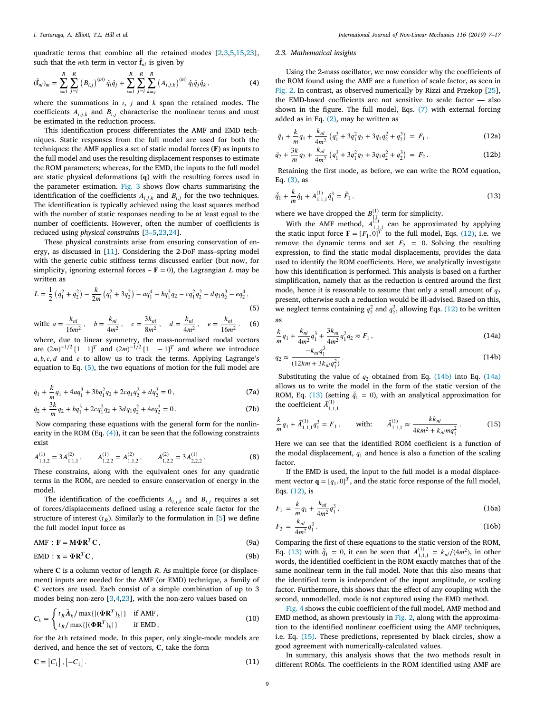quadratic terms that combine all the retained modes [[2](#page-9-1)[,3,](#page-9-2)[5,](#page-9-3)[15,](#page-9-13)[23\]](#page-10-2), such that the *m*th term in vector  $\hat{\mathbf{f}}_{nl}$  is given by

$$
(\hat{\mathbf{f}}_{nl})_m = \sum_{i=1}^R \sum_{j=i}^R (B_{i,j})^{(m)} \hat{q}_i \hat{q}_j + \sum_{i=1}^R \sum_{j=i}^R \sum_{k=j}^R (A_{i,j,k})^{(m)} \hat{q}_i \hat{q}_j \hat{q}_k, \tag{4}
$$

where the summations in  $i$ ,  $j$  and  $k$  span the retained modes. The coefficients  $A_{i,i,k}$  and  $B_{i,j}$  characterise the nonlinear terms and must be estimated in the reduction process.

This identification process differentiates the AMF and EMD techniques. Static responses from the full model are used for both the techniques: the AMF applies a set of static modal forces  $(F)$  as inputs to the full model and uses the resulting displacement responses to estimate the ROM parameters; whereas, for the EMD, the inputs to the full model are static physical deformations  $(q)$  with the resulting forces used in the parameter estimation. [Fig.](#page-3-1) [3](#page-3-1) shows flow charts summarising the identification of the coefficients  $A_{i,j,k}$  and  $B_{i,j}$  for the two techniques. The identification is typically achieved using the least squares method with the number of static responses needing to be at least equal to the number of coefficients. However, often the number of coefficients is reduced using *physical constraints* [\[3–](#page-9-2)[5](#page-9-3),[23](#page-10-2),[24\]](#page-10-3).

These physical constraints arise from ensuring conservation of energy, as discussed in [[11\]](#page-9-9). Considering the 2-DoF mass–spring model with the generic cubic stiffness terms discussed earlier (but now, for simplicity, ignoring external forces  $- \mathbf{F} = 0$ ), the Lagrangian *L* may be written as

$$
L = \frac{1}{2} \left( \dot{q}_1^2 + \dot{q}_2^2 \right) - \frac{k}{2m} \left( q_1^2 + 3q_2^2 \right) - a q_1^4 - b q_1^3 q_2 - c q_1^2 q_2^2 - d q_1 q_2^3 - e q_2^4,
$$
\n(5)

with: 
$$
a = \frac{k_{nl}}{16m^2}
$$
,  $b = \frac{k_{nl}}{4m^2}$ ,  $c = \frac{3k_{nl}}{8m^2}$ ,  $d = \frac{k_{nl}}{4m^2}$ ,  $e = \frac{k_{nl}}{16m^2}$ . (6)

where, due to linear symmetry, the mass-normalised modal vectors are  $(2m)^{-1/2} [1 \t1]^T$  and  $(2m)^{-1/2} [1 \t-1]^T$  and where we introduce  $a, b, c, d$  and  $e$  to allow us to track the terms. Applying Lagrange's equation to Eq. [\(5\)](#page-2-0), the two equations of motion for the full model are

<span id="page-2-2"></span>
$$
\ddot{q}_1 + \frac{k}{m}q_1 + 4aq_1^3 + 3bq_1^2q_2 + 2cq_1q_2^2 + dq_2^3 = 0, \tag{7a}
$$

$$
\ddot{q}_2 + \frac{3k}{m}q_2 + bq_1^3 + 2cq_1^2q_2 + 3dq_1q_2^2 + 4eq_2^3 = 0.
$$
 (7b)

Now comparing these equations with the general form for the nonlinearity in the ROM (Eq. [\(4\)](#page-2-1)), it can be seen that the following constraints exist

$$
A_{1,1,2}^{(1)} = 3A_{1,1,1}^{(2)}, \qquad A_{1,2,2}^{(1)} = A_{1,1,2}^{(2)}, \qquad A_{1,2,2}^{(2)} = 3A_{2,2,2}^{(1)}.
$$
 (8)

These constrains, along with the equivalent ones for any quadratic terms in the ROM, are needed to ensure conservation of energy in the model.

The identification of the coefficients  $A_{i,j,k}$  and  $B_{i,j}$  requires a set of forces/displacements defined using a reference scale factor for the structure of interest  $(t_R)$ . Similarly to the formulation in [[5\]](#page-9-3) we define the full model input force as

$$
AMF : F = M\Phi R^{T}C, \qquad (9a)
$$

$$
EMD: \mathbf{x} = \mathbf{\Phi} \mathbf{R}^T \mathbf{C},\tag{9b}
$$

where  $C$  is a column vector of length  $R$ . As multiple force (or displacement) inputs are needed for the AMF (or EMD) technique, a family of C vectors are used. Each consist of a simple combination of up to 3 modes being non-zero [[3,](#page-9-2)[4](#page-9-15)[,23](#page-10-2)], with the non-zero values based on

$$
C_k = \begin{cases} t_R \hat{\mathbf{\Lambda}}_k / \max\{|\mathbf{\Phi} \mathbf{R}^T)_k|\} & \text{if AMF,} \\ t_R / \max\{|\mathbf{\Phi} \mathbf{R}^T)_k|\} & \text{if EMD,} \end{cases}
$$
(10)

for the kth retained mode. In this paper, only single-mode models are derived, and hence the set of vectors, C, take the form

$$
\mathbf{C} = [C_1], [-C_1]. \tag{11}
$$

#### *I. Tartaruga, A. Elliott, T.L. Hill et al. International Journal of Non-Linear Mechanics 116 (2019) 7–17*

#### *2.3. Mathematical insights*

<span id="page-2-1"></span>Using the 2-mass oscillator, we now consider why the coefficients of the ROM found using the AMF are a function of scale factor, as seen in [Fig.](#page-1-2) [2.](#page-1-2) In contrast, as observed numerically by Rizzi and Przekop [[25\]](#page-10-4), the EMD-based coefficients are not sensitive to scale factor — also shown in the figure. The full model, Eqs. ([7](#page-2-2)) with external forcing added as in Eq.  $(2)$ , may be written as

<span id="page-2-3"></span>
$$
\ddot{q}_1 + \frac{k}{m}q_1 + \frac{k_{nl}}{4m^2} \left( q_1^3 + 3q_1^2 q_2 + 3q_1 q_2^2 + q_2^3 \right) = F_1,
$$
\n(12a)

$$
\ddot{q}_2 + \frac{3k}{m}q_2 + \frac{k_{nl}}{4m^2} \left( q_1^3 + 3q_1^2 q_2 + 3q_1 q_2^2 + q_2^3 \right) = F_2. \tag{12b}
$$

Retaining the first mode, as before, we can write the ROM equation, Eq. ([3\)](#page-1-6), as

<span id="page-2-6"></span>
$$
\ddot{\hat{q}}_1 + \frac{k}{m}\hat{q}_1 + A_{1,1,1}^{(1)}\hat{q}_1^3 = \hat{F}_1,
$$
\n(13)

where we have dropped the  $B_{11}^{(1)}$  term for simplicity.

With the AMF method,  $A_{1,1,1}^{(1)}$  can be approximated by applying the static input force  $\mathbf{F} = [F_1, 0]^T$  to the full model, Eqs. [\(12](#page-2-3)), i.e. we remove the dynamic terms and set  $F_2 = 0$ . Solving the resulting expression, to find the static modal displacements, provides the data used to identify the ROM coefficients. Here, we analytically investigate how this identification is performed. This analysis is based on a further simplification, namely that as the reduction is centred around the first mode, hence it is reasonable to assume that only a small amount of  $q_2$ present, otherwise such a reduction would be ill-advised. Based on this, we neglect terms containing  $q_2^2$  and  $q_2^3$ , allowing Eqs. ([12\)](#page-2-3) to be written as

<span id="page-2-5"></span><span id="page-2-0"></span>
$$
\frac{k}{m}q_1 + \frac{k_{nl}}{4m^2}q_1^3 + \frac{3k_{nl}}{4m^2}q_1^2q_2 \approx F_1,
$$
\n(14a)

<span id="page-2-4"></span>
$$
q_2 \approx \frac{-k_m q_1^3}{(12km + 3k_m q_1^2)} \,. \tag{14b}
$$

Substituting the value of  $q_2$  obtained from Eq. ([14b\)](#page-2-4) into Eq. ([14a\)](#page-2-5) allows us to write the model in the form of the static version of the ROM, Eq. [\(13](#page-2-6)) (setting  $\ddot{q}_1 = 0$ ), with an analytical approximation for the coefficient  $\tilde{A}^{(1)}_{1,1,1}$ 

<span id="page-2-7"></span>
$$
\frac{k}{m}q_1 + \tilde{A}_{1,1,1}^{(1)}q_1^3 = \overline{F}_1, \quad \text{with:} \quad \tilde{A}_{1,1,1}^{(1)} \approx \frac{kk_{nl}}{4km^2 + k_{nl}mq_1^2}.
$$
 (15)

Here we can see that the identified ROM coefficient is a function of the modal displacement,  $q_1$  and hence is also a function of the scaling factor.

If the EMD is used, the input to the full model is a modal displacement vector  $\mathbf{q} = [q_1, 0]^T$ , and the static force response of the full model, Eqs. ([12\)](#page-2-3), is

$$
F_1 = \frac{k}{m}q_1 + \frac{k_{nl}}{4m^2}q_1^3,
$$
\n(16a)

<span id="page-2-8"></span>
$$
F_2 = \frac{k_{nl}}{4m^2} q_1^3.
$$
 (16b)

Comparing the first of these equations to the static version of the ROM, Eq. [\(13](#page-2-6)) with  $\ddot{q}_1 = 0$ , it can be seen that  $A_{1,1,1}^{(1)} = k_{nl}/(4m^2)$ , in other words, the identified coefficient in the ROM exactly matches that of the same nonlinear term in the full model. Note that this also means that the identified term is independent of the input amplitude, or scaling factor. Furthermore, this shows that the effect of any coupling with the second, unmodelled, mode is not captured using the EMD method.

<span id="page-2-9"></span>[Fig.](#page-3-2) [4](#page-3-2) shows the cubic coefficient of the full model, AMF method and EMD method, as shown previously in [Fig.](#page-1-2) [2,](#page-1-2) along with the approximation to the identified nonlinear coefficient using the AMF techniques, i.e. Eq. ([15](#page-2-7)). These predictions, represented by black circles, show a good agreement with numerically-calculated values.

In summary, this analysis shows that the two methods result in different ROMs. The coefficients in the ROM identified using AMF are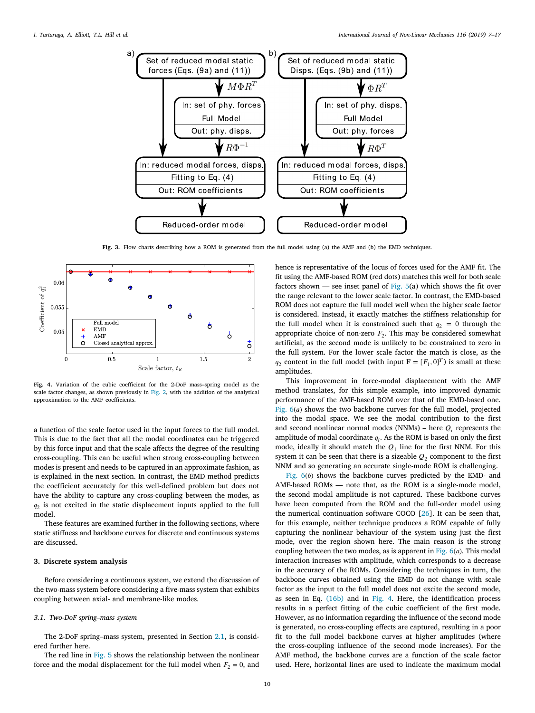

**Fig. 3.** Flow charts describing how a ROM is generated from the full model using (a) the AMF and (b) the EMD techniques.

<span id="page-3-1"></span>

<span id="page-3-2"></span>**Fig. 4.** Variation of the cubic coefficient for the 2-DoF mass–spring model as the scale factor changes, as shown previously in [Fig.](#page-1-2) [2,](#page-1-2) with the addition of the analytical approximation to the AMF coefficients.

a function of the scale factor used in the input forces to the full model. This is due to the fact that all the modal coordinates can be triggered by this force input and that the scale affects the degree of the resulting cross-coupling. This can be useful when strong cross-coupling between modes is present and needs to be captured in an approximate fashion, as is explained in the next section. In contrast, the EMD method predicts the coefficient accurately for this well-defined problem but does not have the ability to capture any cross-coupling between the modes, as  $q_2$  is not excited in the static displacement inputs applied to the full model.

These features are examined further in the following sections, where static stiffness and backbone curves for discrete and continuous systems are discussed.

## **3. Discrete system analysis**

<span id="page-3-0"></span>Before considering a continuous system, we extend the discussion of the two-mass system before considering a five-mass system that exhibits coupling between axial- and membrane-like modes.

## *3.1. Two-DoF spring–mass system*

The 2-DoF spring–mass system, presented in Section [2.1](#page-1-7), is considered further here

The red line in [Fig.](#page-4-0) [5](#page-4-0) shows the relationship between the nonlinear force and the modal displacement for the full model when  $F_2 = 0$ , and hence is representative of the locus of forces used for the AMF fit. The fit using the AMF-based ROM (red dots) matches this well for both scale factors shown — see inset panel of [Fig.](#page-4-0)  $5(a)$  $5(a)$  which shows the fit over the range relevant to the lower scale factor. In contrast, the EMD-based ROM does not capture the full model well when the higher scale factor is considered. Instead, it exactly matches the stiffness relationship for the full model when it is constrained such that  $q_2 = 0$  through the appropriate choice of non-zero  $F_2$ . This may be considered somewhat artificial, as the second mode is unlikely to be constrained to zero in the full system. For the lower scale factor the match is close, as the  $q_2$  content in the full model (with input  $\mathbf{F} = [F_1, 0]^T$ ) is small at these amplitudes.

This improvement in force-modal displacement with the AMF method translates, for this simple example, into improved dynamic performance of the AMF-based ROM over that of the EMD-based one. [Fig.](#page-4-1)  $6(a)$  $6(a)$  shows the two backbone curves for the full model, projected into the modal space. We see the modal contribution to the first and second nonlinear normal modes (NNMs) – here  $Q_i$  represents the amplitude of modal coordinate  $q_i$ . As the ROM is based on only the first mode, ideally it should match the  $Q_1$  line for the first NNM. For this system it can be seen that there is a sizeable  $Q_2$  component to the first NNM and so generating an accurate single-mode ROM is challenging.

[Fig.](#page-4-1)  $6(b)$  $6(b)$  shows the backbone curves predicted by the EMD- and AMF-based ROMs — note that, as the ROM is a single-mode model, the second modal amplitude is not captured. These backbone curves have been computed from the ROM and the full-order model using the numerical continuation software COCO [\[26](#page-10-5)]. It can be seen that, for this example, neither technique produces a ROM capable of fully capturing the nonlinear behaviour of the system using just the first mode, over the region shown here. The main reason is the strong coupling between the two modes, as is apparent in [Fig.](#page-4-1)  $6(a)$  $6(a)$ . This modal interaction increases with amplitude, which corresponds to a decrease in the accuracy of the ROMs. Considering the techniques in turn, the backbone curves obtained using the EMD do not change with scale factor as the input to the full model does not excite the second mode, as seen in Eq. [\(16b\)](#page-2-8) and in [Fig.](#page-3-2) [4](#page-3-2). Here, the identification process results in a perfect fitting of the cubic coefficient of the first mode. However, as no information regarding the influence of the second mode is generated, no cross-coupling effects are captured, resulting in a poor fit to the full model backbone curves at higher amplitudes (where the cross-coupling influence of the second mode increases). For the AMF method, the backbone curves are a function of the scale factor used. Here, horizontal lines are used to indicate the maximum modal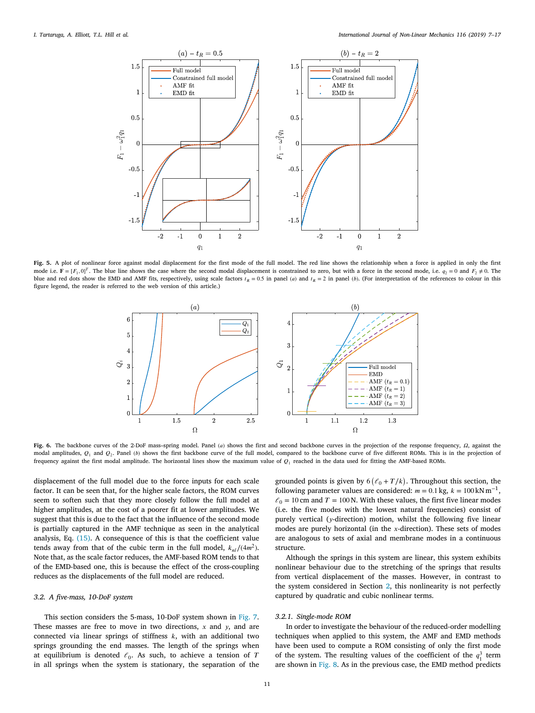

<span id="page-4-0"></span>**Fig. 5.** A plot of nonlinear force against modal displacement for the first mode of the full model. The red line shows the relationship when a force is applied in only the first mode i.e.  $\mathbf{F} = [F_1, 0]^T$ . The blue line shows the case where the second modal displacement is constrained to zero, but with a force in the second mode, i.e.  $q_2 = 0$  and  $F_2 \neq 0$ . The blue and red dots show the EMD and AMF fits, respectively, using scale factors  $t_R = 0.5$  in panel (a) and  $t_R = 2$  in panel (b). (For interpretation of the references to colour in this figure legend, the reader is referred to the web version of this article.)



<span id="page-4-1"></span>Fig. 6. The backbone curves of the 2-DoF mass-spring model. Panel (a) shows the first and second backbone curves in the projection of the response frequency,  $\Omega$ , against the modal amplitudes,  $Q_1$  and  $Q_2$ . Panel (b) shows the first backbone curve of the full model, compared to the backbone curve of five different ROMs. This is in the projection of frequency against the first modal amplitude. The horizontal lines show the maximum value of  $Q_1$  reached in the data used for fitting the AMF-based ROMs.

displacement of the full model due to the force inputs for each scale factor. It can be seen that, for the higher scale factors, the ROM curves seem to soften such that they more closely follow the full model at higher amplitudes, at the cost of a poorer fit at lower amplitudes. We suggest that this is due to the fact that the influence of the second mode is partially captured in the AMF technique as seen in the analytical analysis, Eq. ([15\)](#page-2-7). A consequence of this is that the coefficient value tends away from that of the cubic term in the full model,  $k_{nl}/(4m^2)$ . Note that, as the scale factor reduces, the AMF-based ROM tends to that of the EMD-based one, this is because the effect of the cross-coupling reduces as the displacements of the full model are reduced.

## *3.2. A five-mass, 10-DoF system*

This section considers the 5-mass, 10-DoF system shown in [Fig.](#page-5-0) [7](#page-5-0). These masses are free to move in two directions,  $x$  and  $y$ , and are connected via linear springs of stiffness  $k$ , with an additional two springs grounding the end masses. The length of the springs when at equilibrium is denoted  $\ell_0$ . As such, to achieve a tension of T in all springs when the system is stationary, the separation of the

grounded points is given by  $6 (l_0 + T/k)$ . Throughout this section, the following parameter values are considered:  $m = 0.1$  kg,  $k = 100$  kN m<sup>-1</sup>,  $\ell_0$  = 10 cm and T = 100 N. With these values, the first five linear modes (i.e. the five modes with the lowest natural frequencies) consist of purely vertical ( $y$ -direction) motion, whilst the following five linear modes are purely horizontal (in the  $x$ -direction). These sets of modes are analogous to sets of axial and membrane modes in a continuous structure.

Although the springs in this system are linear, this system exhibits nonlinear behaviour due to the stretching of the springs that results from vertical displacement of the masses. However, in contrast to the system considered in Section [2](#page-1-0), this nonlinearity is not perfectly captured by quadratic and cubic nonlinear terms.

#### *3.2.1. Single-mode ROM*

In order to investigate the behaviour of the reduced-order modelling techniques when applied to this system, the AMF and EMD methods have been used to compute a ROM consisting of only the first mode of the system. The resulting values of the coefficient of the  $q_1^3$  term are shown in [Fig.](#page-5-1) [8](#page-5-1). As in the previous case, the EMD method predicts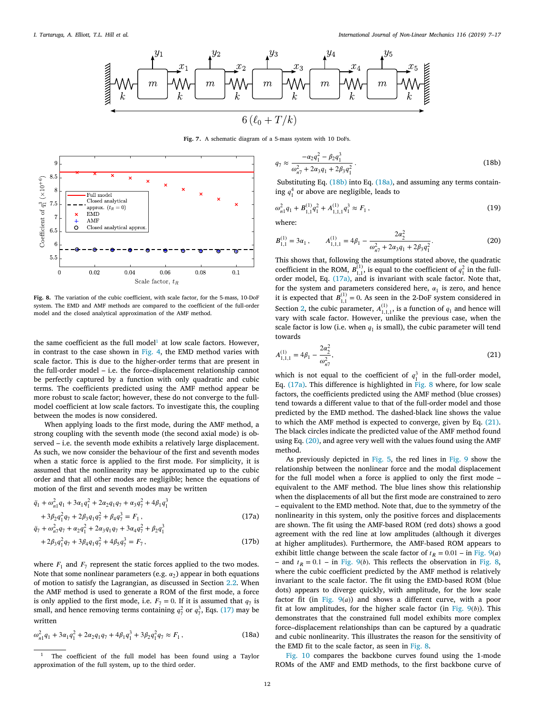

**Fig. 7.** A schematic diagram of a 5-mass system with 10 DoFs.

 $\overline{q}$ 

<span id="page-5-0"></span>

<span id="page-5-1"></span>**Fig. 8.** The variation of the cubic coefficient, with scale factor, for the 5-mass, 10-DoF system. The EMD and AMF methods are compared to the coefficient of the full-order model and the closed analytical approximation of the AMF method.

the same coefficient as the full model<sup>[1](#page-5-2)</sup> at low scale factors. However, in contrast to the case shown in [Fig.](#page-3-2) [4,](#page-3-2) the EMD method varies with scale factor. This is due to the higher-order terms that are present in the full-order model – i.e. the force–displacement relationship cannot be perfectly captured by a function with only quadratic and cubic terms. The coefficients predicted using the AMF method appear be more robust to scale factor; however, these do not converge to the fullmodel coefficient at low scale factors. To investigate this, the coupling between the modes is now considered.

When applying loads to the first mode, during the AMF method, a strong coupling with the seventh mode (the second axial mode) is observed – i.e. the seventh mode exhibits a relatively large displacement. As such, we now consider the behaviour of the first and seventh modes when a static force is applied to the first mode. For simplicity, it is assumed that the nonlinearity may be approximated up to the cubic order and that all other modes are negligible; hence the equations of motion of the first and seventh modes may be written

<span id="page-5-6"></span>
$$
\ddot{q}_1 + \omega_{n1}^2 q_1 + 3\alpha_1 q_1^2 + 2\alpha_2 q_1 q_7 + \alpha_3 q_7^2 + 4\beta_1 q_1^3
$$
  
+ 3\beta\_2 q\_1^2 q\_7 + 2\beta\_3 q\_1 q\_7^2 + \beta\_4 q\_7^3 = F\_1, (17a)  

$$
\ddot{q}_7 + \omega_{n7}^2 q_7 + \alpha_2 q_1^2 + 2\alpha_3 q_1 q_7 + 3\alpha_4 q_7^2 + \beta_2 q_1^3
$$
  
+ 2\beta\_3 q\_1^2 q\_7 + 3\beta\_4 q\_1 q\_7^2 + 4\beta\_5 q\_7^3 = F\_7, (17b)

where  $F_1$  and  $F_7$  represent the static forces applied to the two modes. Note that some nonlinear parameters (e.g.  $\alpha_2$ ) appear in both equations of motion to satisfy the Lagrangian, as discussed in Section [2.2](#page-1-3). When the AMF method is used to generate a ROM of the first mode, a force is only applied to the first mode, i.e.  $F_7 = 0$ . If it is assumed that  $q_7$  is small, and hence removing terms containing  $q_7^2$  or  $q_7^3$ , Eqs. ([17\)](#page-5-3) may be written

$$
\omega_{n1}^2 q_1 + 3\alpha_1 q_1^2 + 2\alpha_2 q_1 q_7 + 4\beta_1 q_1^3 + 3\beta_2 q_1^2 q_7 \approx F_1,
$$
\n(18a)

<span id="page-5-4"></span>
$$
\tau \approx \frac{-\alpha_2 q_1^2 - \beta_2 q_1^3}{\omega_{n\tau}^2 + 2\alpha_3 q_1 + 2\beta_3 q_1^2}.
$$
\n(18b)

Substituting Eq. ([18b](#page-5-4)) into Eq. [\(18a](#page-5-5)), and assuming any terms containing  $q_1^4$  or above are negligible, leads to

$$
\omega_{n1}^2 q_1 + B_{1,1}^{(1)} q_1^2 + A_{1,1,1}^{(1)} q_1^3 \approx F_1 , \qquad (19)
$$

where:

<span id="page-5-8"></span>
$$
B_{1,1}^{(1)} = 3\alpha_1, \qquad A_{1,1,1}^{(1)} = 4\beta_1 - \frac{2\alpha_2^2}{\omega_{n7}^2 + 2\alpha_3 q_1 + 2\beta_3 q_1^2}.
$$
 (20)

This shows that, following the assumptions stated above, the quadratic coefficient in the ROM,  $B_{1,1}^{(1)}$ , is equal to the coefficient of  $q_1^2$  in the fullorder model, Eq. ([17a\)](#page-5-6), and is invariant with scale factor. Note that, for the system and parameters considered here,  $\alpha_1$  is zero, and hence it is expected that  $B_{1,1}^{(1)} = 0$ . As seen in the 2-DoF system considered in Section [2](#page-1-0), the cubic parameter,  $A_{1,1,1}^{(1)}$ , is a function of  $q_1$  and hence will vary with scale factor. However, unlike the previous case, when the scale factor is low (i.e. when  $q_1$  is small), the cubic parameter will tend towards

<span id="page-5-7"></span><span id="page-5-2"></span>
$$
A_{1,1,1}^{(1)} = 4\beta_1 - \frac{2\alpha_2^2}{\omega_{n_1}^2},\tag{21}
$$

which is not equal to the coefficient of  $q_1^3$  in the full-order model, Eq. ([17a\)](#page-5-6). This difference is highlighted in [Fig.](#page-5-1) [8](#page-5-1) where, for low scale factors, the coefficients predicted using the AMF method (blue crosses) tend towards a different value to that of the full-order model and those predicted by the EMD method. The dashed-black line shows the value to which the AMF method is expected to converge, given by Eq. [\(21](#page-5-7)). The black circles indicate the predicted value of the AMF method found using Eq. [\(20](#page-5-8)), and agree very well with the values found using the AMF method.

<span id="page-5-3"></span>As previously depicted in [Fig.](#page-4-0) [5](#page-4-0), the red lines in [Fig.](#page-6-0) [9](#page-6-0) show the relationship between the nonlinear force and the modal displacement for the full model when a force is applied to only the first mode – equivalent to the AMF method. The blue lines show this relationship when the displacements of all but the first mode are constrained to zero – equivalent to the EMD method. Note that, due to the symmetry of the nonlinearity in this system, only the positive forces and displacements are shown. The fit using the AMF-based ROM (red dots) shows a good agreement with the red line at low amplitudes (although it diverges at higher amplitudes). Furthermore, the AMF-based ROM appears to exhibit little change between the scale factor of  $t_R = 0.01 - \text{in Fig. 9}(a)$  $t_R = 0.01 - \text{in Fig. 9}(a)$  $t_R = 0.01 - \text{in Fig. 9}(a)$  $t_R = 0.01 - \text{in Fig. 9}(a)$  $t_R = 0.01 - \text{in Fig. 9}(a)$ – and  $t_R = 0.1$  – in [Fig.](#page-5-1) [9](#page-6-0)(*b*). This reflects the observation in Fig. [8](#page-5-1), where the cubic coefficient predicted by the AMF method is relatively invariant to the scale factor. The fit using the EMD-based ROM (blue dots) appears to diverge quickly, with amplitude, for the low scale factor fit (in [Fig.](#page-6-0)  $9(a)$  $9(a)$ ) and shows a different curve, with a poor fit at low amplitudes, for the higher scale factor (in [Fig.](#page-6-0)  $9(b)$  $9(b)$ ). This demonstrates that the constrained full model exhibits more complex force–displacement relationships than can be captured by a quadratic and cubic nonlinearity. This illustrates the reason for the sensitivity of the EMD fit to the scale factor, as seen in [Fig.](#page-5-1) [8](#page-5-1).

<span id="page-5-5"></span>[Fig.](#page-6-1) [10](#page-6-1) compares the backbone curves found using the 1-mode ROMs of the AMF and EMD methods, to the first backbone curve of

<sup>&</sup>lt;sup>1</sup> The coefficient of the full model has been found using a Taylor approximation of the full system, up to the third order.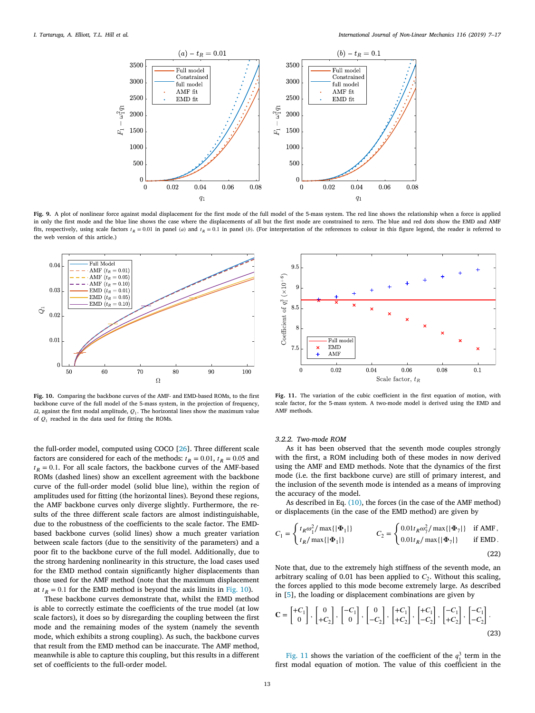

<span id="page-6-0"></span>**Fig. 9.** A plot of nonlinear force against modal displacement for the first mode of the full model of the 5-mass system. The red line shows the relationship when a force is applied in only the first mode and the blue line shows the case where the displacements of all but the first mode are constrained to zero. The blue and red dots show the EMD and AMF fits, respectively, using scale factors  $t_R = 0.01$  in panel (a) and  $t_R = 0.1$  in panel (b). (For interpretation of the references to colour in this figure legend, the reader is referred to the web version of this article.)



<span id="page-6-1"></span>**Fig. 10.** Comparing the backbone curves of the AMF- and EMD-based ROMs, to the first backbone curve of the full model of the 5-mass system, in the projection of frequency,  $\Omega$ , against the first modal amplitude,  $Q_1$ . The horizontal lines show the maximum value of  $Q_1$  reached in the data used for fitting the ROMs.

the full-order model, computed using COCO [\[26](#page-10-5)]. Three different scale factors are considered for each of the methods:  $t_R = 0.01$ ,  $t_R = 0.05$  and  $t_R = 0.1$ . For all scale factors, the backbone curves of the AMF-based ROMs (dashed lines) show an excellent agreement with the backbone curve of the full-order model (solid blue line), within the region of amplitudes used for fitting (the horizontal lines). Beyond these regions, the AMF backbone curves only diverge slightly. Furthermore, the results of the three different scale factors are almost indistinguishable, due to the robustness of the coefficients to the scale factor. The EMDbased backbone curves (solid lines) show a much greater variation between scale factors (due to the sensitivity of the parameters) and a poor fit to the backbone curve of the full model. Additionally, due to the strong hardening nonlinearity in this structure, the load cases used for the EMD method contain significantly higher displacements than those used for the AMF method (note that the maximum displacement at  $t_R = 0.1$  for the EMD method is beyond the axis limits in [Fig.](#page-6-1) [10\)](#page-6-1).

These backbone curves demonstrate that, whilst the EMD method is able to correctly estimate the coefficients of the true model (at low scale factors), it does so by disregarding the coupling between the first mode and the remaining modes of the system (namely the seventh mode, which exhibits a strong coupling). As such, the backbone curves that result from the EMD method can be inaccurate. The AMF method, meanwhile is able to capture this coupling, but this results in a different set of coefficients to the full-order model.



<span id="page-6-2"></span>**Fig. 11.** The variation of the cubic coefficient in the first equation of motion, with scale factor, for the 5-mass system. A two-mode model is derived using the EMD and AMF methods

#### *3.2.2. Two-mode ROM*

As it has been observed that the seventh mode couples strongly with the first, a ROM including both of these modes in now derived using the AMF and EMD methods. Note that the dynamics of the first mode (i.e. the first backbone curve) are still of primary interest, and the inclusion of the seventh mode is intended as a means of improving the accuracy of the model.

As described in Eq. ([10\)](#page-2-9), the forces (in the case of the AMF method) or displacements (in the case of the EMD method) are given by

$$
C_1 = \begin{cases} t_R \omega_1^2 / \max\{|\Phi_1|\} \\ t_R / \max\{|\Phi_1|\} \end{cases} \qquad C_2 = \begin{cases} 0.01t_R \omega_7^2 / \max\{|\Phi_7|\} & \text{if AMF,} \\ 0.01t_R / \max\{|\Phi_7|\} & \text{if EMD.} \end{cases}
$$
(22)

Note that, due to the extremely high stiffness of the seventh mode, an arbitrary scaling of 0.01 has been applied to  $C_2$ . Without this scaling, the forces applied to this mode become extremely large. As described in [[5](#page-9-3)], the loading or displacement combinations are given by

$$
\mathbf{C} = \begin{bmatrix} +C_1 \\ 0 \end{bmatrix}, \begin{bmatrix} 0 \\ +C_2 \end{bmatrix}, \begin{bmatrix} -C_1 \\ 0 \end{bmatrix}, \begin{bmatrix} 0 \\ -C_2 \end{bmatrix}, \begin{bmatrix} +C_1 \\ +C_2 \end{bmatrix}, \begin{bmatrix} +C_1 \\ -C_2 \end{bmatrix}, \begin{bmatrix} -C_1 \\ +C_2 \end{bmatrix}, \begin{bmatrix} -C_1 \\ -C_2 \end{bmatrix}.
$$
\n(23)

[Fig.](#page-6-2) [11](#page-6-2) shows the variation of the coefficient of the  $q_1^3$  term in the first modal equation of motion. The value of this coefficient in the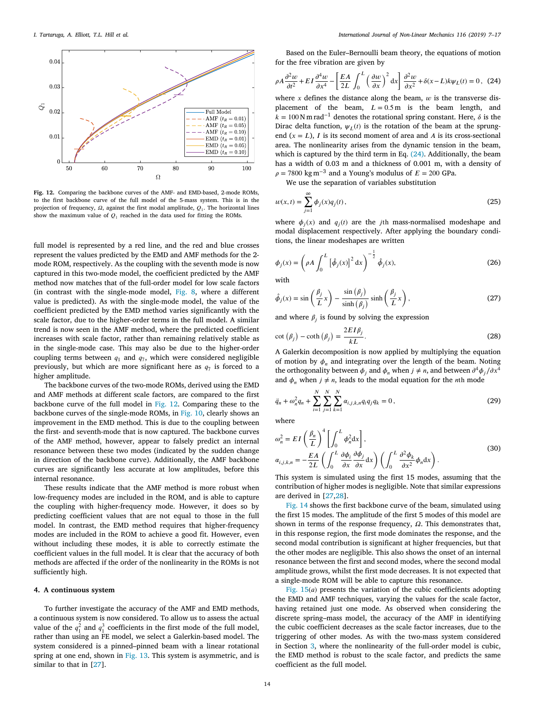

<span id="page-7-1"></span>**Fig. 12.** Comparing the backbone curves of the AMF- and EMD-based, 2-mode ROMs, to the first backbone curve of the full model of the 5-mass system. This is in the projection of frequency,  $\Omega$ , against the first modal amplitude,  $Q_1$ . The horizontal lines show the maximum value of  $Q_1$  reached in the data used for fitting the ROMs.

full model is represented by a red line, and the red and blue crosses represent the values predicted by the EMD and AMF methods for the 2 mode ROM, respectively. As the coupling with the seventh mode is now captured in this two-mode model, the coefficient predicted by the AMF method now matches that of the full-order model for low scale factors (in contrast with the single-mode model, [Fig.](#page-5-1) [8](#page-5-1), where a different value is predicted). As with the single-mode model, the value of the coefficient predicted by the EMD method varies significantly with the scale factor, due to the higher-order terms in the full model. A similar trend is now seen in the AMF method, where the predicted coefficient increases with scale factor, rather than remaining relatively stable as in the single-mode case. This may also be due to the higher-order coupling terms between  $q_1$  and  $q_7$ , which were considered negligible previously, but which are more significant here as  $q_7$  is forced to a higher amplitude.

The backbone curves of the two-mode ROMs, derived using the EMD and AMF methods at different scale factors, are compared to the first backbone curve of the full model in [Fig.](#page-7-1) [12.](#page-7-1) Comparing these to the backbone curves of the single-mode ROMs, in [Fig.](#page-6-1) [10,](#page-6-1) clearly shows an improvement in the EMD method. This is due to the coupling between the first- and seventh-mode that is now captured. The backbone curves of the AMF method, however, appear to falsely predict an internal resonance between these two modes (indicated by the sudden change in direction of the backbone curve). Additionally, the AMF backbone curves are significantly less accurate at low amplitudes, before this internal resonance.

These results indicate that the AMF method is more robust when low-frequency modes are included in the ROM, and is able to capture the coupling with higher-frequency mode. However, it does so by predicting coefficient values that are not equal to those in the full model. In contrast, the EMD method requires that higher-frequency modes are included in the ROM to achieve a good fit. However, even without including these modes, it is able to correctly estimate the coefficient values in the full model. It is clear that the accuracy of both methods are affected if the order of the nonlinearity in the ROMs is not sufficiently high.

#### **4. A continuous system**

<span id="page-7-0"></span>To further investigate the accuracy of the AMF and EMD methods, a continuous system is now considered. To allow us to assess the actual value of the  $q_1^2$  and  $q_1^3$  coefficients in the first mode of the full model, rather than using an FE model, we select a Galerkin-based model. The system considered is a pinned–pinned beam with a linear rotational spring at one end, shown in [Fig.](#page-8-1) [13](#page-8-1). This system is asymmetric, and is similar to that in [[27\]](#page-10-6).

Based on the Euler–Bernoulli beam theory, the equations of motion for the free vibration are given by

<span id="page-7-2"></span>
$$
\rho A \frac{\partial^2 w}{\partial t^2} + EI \frac{\partial^4 w}{\partial x^4} - \left[ \frac{EA}{2L} \int_0^L \left( \frac{\partial w}{\partial x} \right)^2 dx \right] \frac{\partial^2 w}{\partial x^2} + \delta(x - L) k \psi_L(t) = 0, \tag{24}
$$

where x defines the distance along the beam,  $w$  is the transverse displacement of the beam,  $L = 0.5$  m is the beam length, and  $k = 100$  N m rad<sup>-1</sup> denotes the rotational spring constant. Here,  $\delta$  is the Dirac delta function,  $\psi_L(t)$  is the rotation of the beam at the sprungend  $(x = L)$ , I is its second moment of area and A is its cross-sectional area. The nonlinearity arises from the dynamic tension in the beam, which is captured by the third term in Eq. [\(24](#page-7-2)). Additionally, the beam has a width of 0.03 m and a thickness of 0.001 m, with a density of  $\rho = 7800 \text{ kg m}^{-3}$  and a Young's modulus of  $E = 200 \text{ GPa}$ .

We use the separation of variables substitution

$$
w(x,t) = \sum_{j=1}^{\infty} \phi_j(x) q_j(t),
$$
\n(25)

where  $\phi_j(x)$  and  $q_j(t)$  are the *j*th mass-normalised modeshape and modal displacement respectively. After applying the boundary conditions, the linear modeshapes are written

$$
\phi_j(x) = \left(\rho A \int_0^L \left[\hat{\phi}_j(x)\right]^2 dx\right)^{-\frac{1}{2}} \hat{\phi}_j(x),\tag{26}
$$

with

$$
\hat{\phi}_j(x) = \sin\left(\frac{\beta_j}{L}x\right) - \frac{\sin(\beta_j)}{\sinh(\beta_j)}\sinh\left(\frac{\beta_j}{L}x\right),\tag{27}
$$

and where  $\beta_j$  is found by solving the expression

$$
\cot\left(\beta_j\right) - \coth\left(\beta_j\right) = \frac{2EI\beta_j}{kL}.\tag{28}
$$

A Galerkin decomposition is now applied by multiplying the equation of motion by  $\phi_n$  and integrating over the length of the beam. Noting the orthogonality between  $\phi_j$  and  $\phi_n$  when  $j \neq n$ , and between  $\partial^4 \phi_j / \partial x^4$ and  $\phi_n$  when  $j \neq n$ , leads to the modal equation for the *n*th mode

$$
\ddot{q}_n + \omega_n^2 q_n + \sum_{i=1}^N \sum_{j=1}^N \sum_{k=1}^N \alpha_{i,j,k,n} q_i q_j q_k = 0, \qquad (29)
$$

where

$$
\omega_n^2 = EI\left(\frac{\beta_n}{L}\right)^4 \left[ \int_0^L \phi_n^2 dx \right],
$$
  
\n
$$
\alpha_{i,j,k,n} = -\frac{EA}{2L} \left( \int_0^L \frac{\partial \phi_i}{\partial x} \frac{\partial \phi_j}{\partial x} dx \right) \left( \int_0^L \frac{\partial^2 \phi_k}{\partial x^2} \phi_n dx \right).
$$
\n(30)

This system is simulated using the first 15 modes, assuming that the contribution of higher modes is negligible. Note that similar expressions are derived in [[27](#page-10-6),[28\]](#page-10-7).

[Fig.](#page-8-2) [14](#page-8-2) shows the first backbone curve of the beam, simulated using the first 15 modes. The amplitude of the first 5 modes of this model are shown in terms of the response frequency,  $\Omega$ . This demonstrates that, in this response region, the first mode dominates the response, and the second modal contribution is significant at higher frequencies, but that the other modes are negligible. This also shows the onset of an internal resonance between the first and second modes, where the second modal amplitude grows, whilst the first mode decreases. It is not expected that a single-mode ROM will be able to capture this resonance.

[Fig.](#page-8-3)  $15(a)$  $15(a)$  presents the variation of the cubic coefficients adopting the EMD and AMF techniques, varying the values for the scale factor, having retained just one mode. As observed when considering the discrete spring–mass model, the accuracy of the AMF in identifying the cubic coefficient decreases as the scale factor increases, due to the triggering of other modes. As with the two-mass system considered in Section [3](#page-3-0), where the nonlinearity of the full-order model is cubic, the EMD method is robust to the scale factor, and predicts the same coefficient as the full model.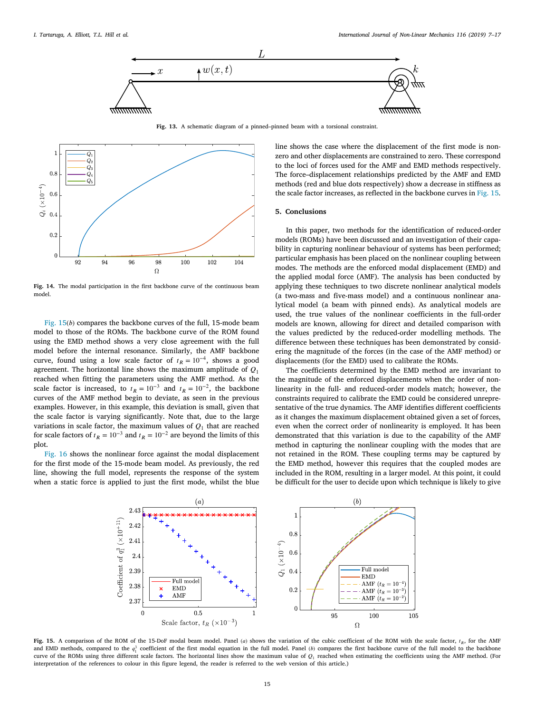

**Fig. 13.** A schematic diagram of a pinned–pinned beam with a torsional constraint.

<span id="page-8-1"></span>

<span id="page-8-2"></span>**Fig. 14.** The modal participation in the first backbone curve of the continuous beam model

[Fig.](#page-8-3)  $15(b)$  $15(b)$  compares the backbone curves of the full, 15-mode beam model to those of the ROMs. The backbone curve of the ROM found using the EMD method shows a very close agreement with the full model before the internal resonance. Similarly, the AMF backbone curve, found using a low scale factor of  $t_R = 10^{-4}$ , shows a good agreement. The horizontal line shows the maximum amplitude of  $Q_1$ reached when fitting the parameters using the AMF method. As the scale factor is increased, to  $t_R = 10^{-3}$  and  $t_R = 10^{-2}$ , the backbone curves of the AMF method begin to deviate, as seen in the previous examples. However, in this example, this deviation is small, given that the scale factor is varying significantly. Note that, due to the large variations in scale factor, the maximum values of  $Q_1$  that are reached for scale factors of  $t_R = 10^{-3}$  and  $t_R = 10^{-2}$  are beyond the limits of this plot.

[Fig.](#page-9-16) [16](#page-9-16) shows the nonlinear force against the modal displacement for the first mode of the 15-mode beam model. As previously, the red line, showing the full model, represents the response of the system when a static force is applied to just the first mode, whilst the blue

line shows the case where the displacement of the first mode is nonzero and other displacements are constrained to zero. These correspond to the loci of forces used for the AMF and EMD methods respectively. The force–displacement relationships predicted by the AMF and EMD methods (red and blue dots respectively) show a decrease in stiffness as the scale factor increases, as reflected in the backbone curves in [Fig.](#page-8-3) [15](#page-8-3).

## **5. Conclusions**

<span id="page-8-0"></span>In this paper, two methods for the identification of reduced-order models (ROMs) have been discussed and an investigation of their capability in capturing nonlinear behaviour of systems has been performed; particular emphasis has been placed on the nonlinear coupling between modes. The methods are the enforced modal displacement (EMD) and the applied modal force (AMF). The analysis has been conducted by applying these techniques to two discrete nonlinear analytical models (a two-mass and five-mass model) and a continuous nonlinear analytical model (a beam with pinned ends). As analytical models are used, the true values of the nonlinear coefficients in the full-order models are known, allowing for direct and detailed comparison with the values predicted by the reduced-order modelling methods. The difference between these techniques has been demonstrated by considering the magnitude of the forces (in the case of the AMF method) or displacements (for the EMD) used to calibrate the ROMs.

The coefficients determined by the EMD method are invariant to the magnitude of the enforced displacements when the order of nonlinearity in the full- and reduced-order models match; however, the constraints required to calibrate the EMD could be considered unrepresentative of the true dynamics. The AMF identifies different coefficients as it changes the maximum displacement obtained given a set of forces, even when the correct order of nonlinearity is employed. It has been demonstrated that this variation is due to the capability of the AMF method in capturing the nonlinear coupling with the modes that are not retained in the ROM. These coupling terms may be captured by the EMD method, however this requires that the coupled modes are included in the ROM, resulting in a larger model. At this point, it could be difficult for the user to decide upon which technique is likely to give



<span id="page-8-3"></span>Fig. 15. A comparison of the ROM of the 15-DoF modal beam model. Panel (a) shows the variation of the cubic coefficient of the ROM with the scale factor,  $t_R$ , for the AMF and EMD methods, compared to the  $q_1^3$  coefficient of the first modal equation in the full model. Panel (b) compares the first backbone curve of the full model to the backbone curve of the ROMs using three different scale factors. The horizontal lines show the maximum value of  $Q_1$  reached when estimating the coefficients using the AMF method. (For interpretation of the references to colour in this figure legend, the reader is referred to the web version of this article.)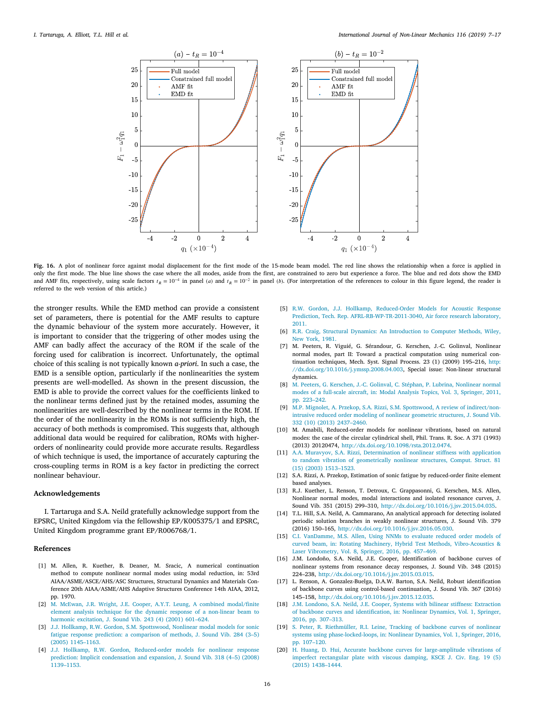

<span id="page-9-16"></span>Fig. 16. A plot of nonlinear force against modal displacement for the first mode of the 15-mode beam model. The red line shows the relationship when a force is applied in only the first mode. The blue line shows the case where the all modes, aside from the first, are constrained to zero but experience a force. The blue and red dots show the EMD and AMF fits, respectively, using scale factors  $t_R = 10^{-4}$  in panel (a) and  $t_R = 10^{-2}$  in panel (b). (For interpretation of the references to colour in this figure legend, the reader is referred to the web version of this article.)

the stronger results. While the EMD method can provide a consistent set of parameters, there is potential for the AMF results to capture the dynamic behaviour of the system more accurately. However, it is important to consider that the triggering of other modes using the AMF can badly affect the accuracy of the ROM if the scale of the forcing used for calibration is incorrect. Unfortunately, the optimal choice of this scaling is not typically known *a-priori*. In such a case, the EMD is a sensible option, particularly if the nonlinearities the system presents are well-modelled. As shown in the present discussion, the EMD is able to provide the correct values for the coefficients linked to the nonlinear terms defined just by the retained modes, assuming the nonlinearities are well-described by the nonlinear terms in the ROM. If the order of the nonlinearity in the ROMs is not sufficiently high, the accuracy of both methods is compromised. This suggests that, although additional data would be required for calibration, ROMs with higherorders of nonlinearity could provide more accurate results. Regardless of which technique is used, the importance of accurately capturing the cross-coupling terms in ROM is a key factor in predicting the correct nonlinear behaviour.

#### **Acknowledgements**

I. Tartaruga and S.A. Neild gratefully acknowledge support from the EPSRC, United Kingdom via the fellowship EP/K005375/1 and EPSRC, United Kingdom programme grant EP/R006768/1.

#### **References**

- <span id="page-9-0"></span>[1] M. Allen, R. Kuether, B. Deaner, M. Sracic, A numerical continuation method to compute nonlinear normal modes using modal reduction, in: 53rd AIAA/ASME/ASCE/AHS/ASC Structures, Structural Dynamics and Materials Conference 20th AIAA/ASME/AHS Adaptive Structures Conference 14th AIAA, 2012, pp. 1970.
- <span id="page-9-1"></span>[2] [M. McEwan, J.R. Wright, J.E. Cooper, A.Y.T. Leung, A combined modal/finite](http://refhub.elsevier.com/S0020-7462(19)30024-1/sb2) [element analysis technique for the dynamic response of a non-linear beam to](http://refhub.elsevier.com/S0020-7462(19)30024-1/sb2) [harmonic excitation, J. Sound Vib. 243 \(4\) \(2001\) 601–624.](http://refhub.elsevier.com/S0020-7462(19)30024-1/sb2)
- <span id="page-9-2"></span>[3] [J.J. Hollkamp, R.W. Gordon, S.M. Spottswood, Nonlinear modal models for sonic](http://refhub.elsevier.com/S0020-7462(19)30024-1/sb3) [fatigue response prediction: a comparison of methods, J. Sound Vib. 284 \(3–5\)](http://refhub.elsevier.com/S0020-7462(19)30024-1/sb3) [\(2005\) 1145–1163.](http://refhub.elsevier.com/S0020-7462(19)30024-1/sb3)
- <span id="page-9-15"></span>[4] [J.J. Hollkamp, R.W. Gordon, Reduced-order models for nonlinear response](http://refhub.elsevier.com/S0020-7462(19)30024-1/sb4) [prediction: Implicit condensation and expansion, J. Sound Vib. 318 \(4–5\) \(2008\)](http://refhub.elsevier.com/S0020-7462(19)30024-1/sb4) [1139–1153.](http://refhub.elsevier.com/S0020-7462(19)30024-1/sb4)
- <span id="page-9-3"></span>[5] [R.W. Gordon, J.J. Hollkamp, Reduced-Order Models for Acoustic Response](http://refhub.elsevier.com/S0020-7462(19)30024-1/sb5) [Prediction, Tech. Rep. AFRL-RB-WP-TR-2011-3040, Air force research laboratory,](http://refhub.elsevier.com/S0020-7462(19)30024-1/sb5) [2011.](http://refhub.elsevier.com/S0020-7462(19)30024-1/sb5)
- <span id="page-9-4"></span>[6] [R.R. Craig, Structural Dynamics: An Introduction to Computer Methods, Wiley,](http://refhub.elsevier.com/S0020-7462(19)30024-1/sb6) [New York, 1981.](http://refhub.elsevier.com/S0020-7462(19)30024-1/sb6)
- <span id="page-9-5"></span>[7] M. Peeters, R. Viguié, G. Sérandour, G. Kerschen, J.-C. Golinval, Nonlinear normal modes, part II: Toward a practical computation using numerical continuation techniques, Mech. Syst. Signal Process. 23 (1) (2009) 195–216, [http:](http://dx.doi.org/10.1016/j.ymssp.2008.04.003) [//dx.doi.org/10.1016/j.ymssp.2008.04.003,](http://dx.doi.org/10.1016/j.ymssp.2008.04.003) Special issue: Non-linear structural dynamics.
- <span id="page-9-6"></span>[8] [M. Peeters, G. Kerschen, J.-C. Golinval, C. Stéphan, P. Lubrina, Nonlinear normal](http://refhub.elsevier.com/S0020-7462(19)30024-1/sb8) [modes of a full-scale aircraft, in: Modal Analysis Topics, Vol. 3, Springer, 2011,](http://refhub.elsevier.com/S0020-7462(19)30024-1/sb8) [pp. 223–242.](http://refhub.elsevier.com/S0020-7462(19)30024-1/sb8)
- <span id="page-9-7"></span>[9] [M.P. Mignolet, A. Przekop, S.A. Rizzi, S.M. Spottswood, A review of indirect/non](http://refhub.elsevier.com/S0020-7462(19)30024-1/sb9)[intrusive reduced order modeling of nonlinear geometric structures, J. Sound Vib.](http://refhub.elsevier.com/S0020-7462(19)30024-1/sb9) [332 \(10\) \(2013\) 2437–2460.](http://refhub.elsevier.com/S0020-7462(19)30024-1/sb9)
- <span id="page-9-8"></span>[10] M. Amabili, Reduced-order models for nonlinear vibrations, based on natural modes: the case of the circular cylindrical shell, Phil. Trans. R. Soc. A 371 (1993) (2013) 20120474, <http://dx.doi.org/10.1098/rsta.2012.0474>.
- <span id="page-9-9"></span>[11] [A.A. Muravyov, S.A. Rizzi, Determination of nonlinear stiffness with application](http://refhub.elsevier.com/S0020-7462(19)30024-1/sb11) [to random vibration of geometrically nonlinear structures, Comput. Struct. 81](http://refhub.elsevier.com/S0020-7462(19)30024-1/sb11) [\(15\) \(2003\) 1513–1523.](http://refhub.elsevier.com/S0020-7462(19)30024-1/sb11)
- <span id="page-9-10"></span>[12] S.A. Rizzi, A. Przekop, Estimation of sonic fatigue by reduced-order finite element based analyses.
- <span id="page-9-11"></span>[13] R.J. Kuether, L. Renson, T. Detroux, C. Grappasonni, G. Kerschen, M.S. Allen, Nonlinear normal modes, modal interactions and isolated resonance curves, J. Sound Vib. 351 (2015) 299–310, <http://dx.doi.org/10.1016/j.jsv.2015.04.035>.
- <span id="page-9-12"></span>[14] T.L. Hill, S.A. Neild, A. Cammarano, An analytical approach for detecting isolated periodic solution branches in weakly nonlinear structures, J. Sound Vib. 379 (2016) 150–165, [http://dx.doi.org/10.1016/j.jsv.2016.05.030.](http://dx.doi.org/10.1016/j.jsv.2016.05.030)
- <span id="page-9-13"></span>[15] [C.I. VanDamme, M.S. Allen, Using NNMs to evaluate reduced order models of](http://refhub.elsevier.com/S0020-7462(19)30024-1/sb15) [curved beam, in: Rotating Machinery, Hybrid Test Methods, Vibro-Acoustics &](http://refhub.elsevier.com/S0020-7462(19)30024-1/sb15) [Laser Vibrometry, Vol. 8, Springer, 2016, pp. 457–469.](http://refhub.elsevier.com/S0020-7462(19)30024-1/sb15)
- [16] J.M. Londoño, S.A. Neild, J.E. Cooper, Identification of backbone curves of nonlinear systems from resonance decay responses, J. Sound Vib. 348 (2015) 224–238, [http://dx.doi.org/10.1016/j.jsv.2015.03.015.](http://dx.doi.org/10.1016/j.jsv.2015.03.015)
- [17] L. Renson, A. Gonzalez-Buelga, D.A.W. Barton, S.A. Neild, Robust identification of backbone curves using control-based continuation, J. Sound Vib. 367 (2016) 145–158, [http://dx.doi.org/10.1016/j.jsv.2015.12.035.](http://dx.doi.org/10.1016/j.jsv.2015.12.035)
- [18] [J.M. Londono, S.A. Neild, J.E. Cooper, Systems with bilinear stiffness: Extraction](http://refhub.elsevier.com/S0020-7462(19)30024-1/sb18) [of backbone curves and identification, in: Nonlinear Dynamics, Vol. 1, Springer,](http://refhub.elsevier.com/S0020-7462(19)30024-1/sb18) [2016, pp. 307–313.](http://refhub.elsevier.com/S0020-7462(19)30024-1/sb18)
- [19] [S. Peter, R. Riethmüller, R.I. Leine, Tracking of backbone curves of nonlinear](http://refhub.elsevier.com/S0020-7462(19)30024-1/sb19) [systems using phase-locked-loops, in: Nonlinear Dynamics, Vol. 1, Springer, 2016,](http://refhub.elsevier.com/S0020-7462(19)30024-1/sb19) [pp. 107–120.](http://refhub.elsevier.com/S0020-7462(19)30024-1/sb19)
- <span id="page-9-14"></span>[20] [H. Huang, D. Hui, Accurate backbone curves for large-amplitude vibrations of](http://refhub.elsevier.com/S0020-7462(19)30024-1/sb20) [imperfect rectangular plate with viscous damping, KSCE J. Civ. Eng. 19 \(5\)](http://refhub.elsevier.com/S0020-7462(19)30024-1/sb20) [\(2015\) 1438–1444.](http://refhub.elsevier.com/S0020-7462(19)30024-1/sb20)